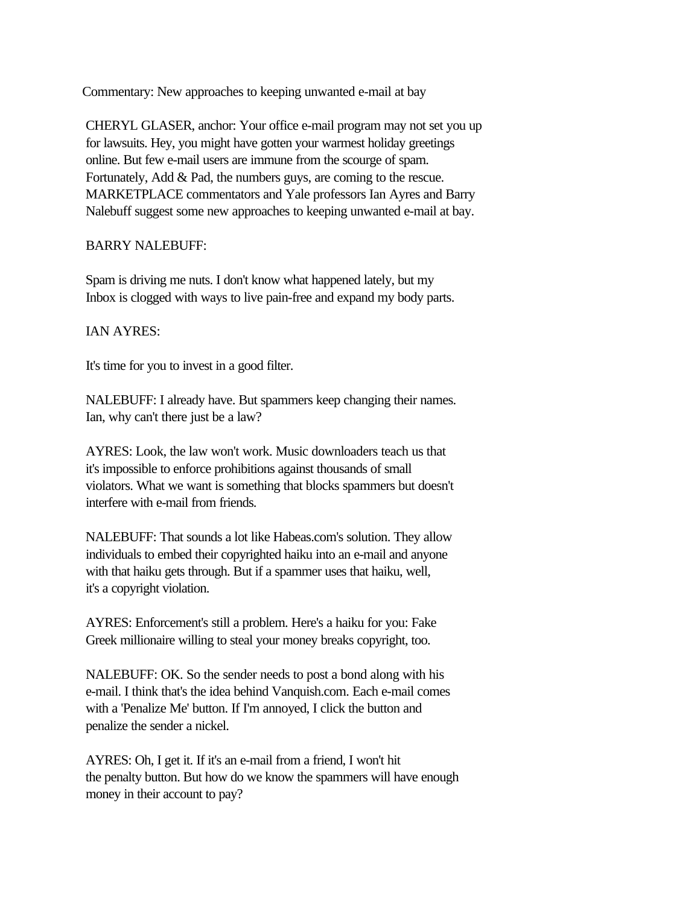Commentary: New approaches to keeping unwanted e-mail at bay

 CHERYL GLASER, anchor: Your office e-mail program may not set you up for lawsuits. Hey, you might have gotten your warmest holiday greetings online. But few e-mail users are immune from the scourge of spam. Fortunately, Add & Pad, the numbers guys, are coming to the rescue. MARKETPLACE commentators and Yale professors Ian Ayres and Barry Nalebuff suggest some new approaches to keeping unwanted e-mail at bay.

## BARRY NALEBUFF:

 Spam is driving me nuts. I don't know what happened lately, but my Inbox is clogged with ways to live pain-free and expand my body parts.

## IAN AYRES:

It's time for you to invest in a good filter.

 NALEBUFF: I already have. But spammers keep changing their names. Ian, why can't there just be a law?

 AYRES: Look, the law won't work. Music downloaders teach us that it's impossible to enforce prohibitions against thousands of small violators. What we want is something that blocks spammers but doesn't interfere with e-mail from friends.

 NALEBUFF: That sounds a lot like Habeas.com's solution. They allow individuals to embed their copyrighted haiku into an e-mail and anyone with that haiku gets through. But if a spammer uses that haiku, well, it's a copyright violation.

 AYRES: Enforcement's still a problem. Here's a haiku for you: Fake Greek millionaire willing to steal your money breaks copyright, too.

 NALEBUFF: OK. So the sender needs to post a bond along with his e-mail. I think that's the idea behind Vanquish.com. Each e-mail comes with a 'Penalize Me' button. If I'm annoyed, I click the button and penalize the sender a nickel.

 AYRES: Oh, I get it. If it's an e-mail from a friend, I won't hit the penalty button. But how do we know the spammers will have enough money in their account to pay?